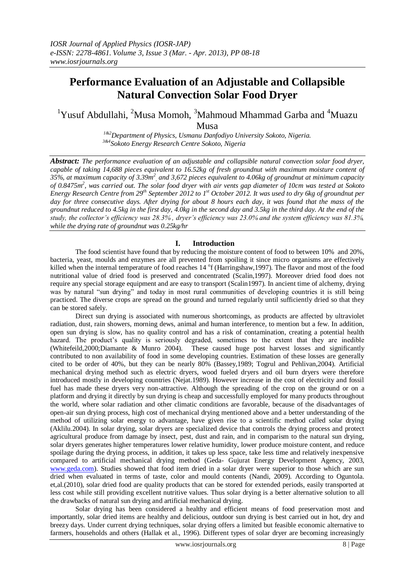# **Performance Evaluation of an Adjustable and Collapsible Natural Convection Solar Food Dryer**

<sup>1</sup>Yusuf Abdullahi, <sup>2</sup>Musa Momoh, <sup>3</sup>Mahmoud Mhammad Garba and <sup>4</sup>Muazu Musa

> *1&2Department of Physics, Usmanu Danfodiyo University Sokoto, Nigeria. 3&4Sokoto Energy Research Centre Sokoto, Nigeria*

*Abstract: The performance evaluation of an adjustable and collapsible natural convection solar food dryer, capable of taking 14,688 pieces equivalent to 16.52kg of fresh groundnut with maximum moisture content of*  35%, at maximum capacity of 3.39m<sup>2</sup>, and 3,672 pieces equivalent to 4.06kg of groundnut at minimum capacity *of 0.8475m<sup>2</sup> , was carried out. The solar food dryer with air vents gap diameter of 10cm was tested at Sokoto Energy Research Centre from 29th September 2012 to 1st October 2012. It was used to dry 6kg of groundnut per day for three consecutive days. After drying for about 8 hours each day, it was found that the mass of the groundnut reduced to 4.5kg in the first day, 4.0kg in the second day and 3.5kg in the third day. At the end of the study, the collector's efficiency was 28.3% , dryer's efficiency was 23.0% and the system efficiency was 81.3%, while the drying rate of groundnut was 0.25kg/hr* 

## **I. Introduction**

The food scientist have found that by reducing the moisture content of food to between 10% and 20%, bacteria, yeast, moulds and enzymes are all prevented from spoiling it since micro organisms are effectively killed when the internal temperature of food reaches 14 <sup>o</sup>f (Harringshaw,1997). The flavor and most of the food nutritional value of dried food is preserved and concentrated (Scalin,1997). Moreover dried food does not require any special storage equipment and are easy to transport (Scalin1997). In ancient time of alchemy, drying was by natural "sun drying" and today in most rural communities of developing countries it is still being practiced. The diverse crops are spread on the ground and turned regularly until sufficiently dried so that they can be stored safely.

Direct sun drying is associated with numerous shortcomings, as products are affected by ultraviolet radiation, dust, rain showers, morning dews, animal and human interference, to mention but a few. In addition, open sun drying is slow, has no quality control and has a risk of contamination, creating a potential health hazard. The product's quality is seriously degraded, sometimes to the extent that they are inedible (Whitefeild,2000;Diamante & Munro 2004). These caused huge post harvest losses and significantly contributed to non availability of food in some developing countries. Estimation of these losses are generally cited to be order of 40%, but they can be nearly 80% (Bassey,1989; Togrul and Pehlivan,2004). Artificial mechanical drying method such as electric dryers, wood fueled dryers and oil burn dryers were therefore introduced mostly in developing countries (Nejat.1989). However increase in the cost of electricity and fossil fuel has made these dryers very non-attractive. Although the spreading of the crop on the ground or on a platform and drying it directly by sun drying is cheap and successfully employed for many products throughout the world, where solar radiation and other climatic conditions are favorable, because of the disadvantages of open-air sun drying process, high cost of mechanical drying mentioned above and a better understanding of the method of utilizing solar energy to advantage, have given rise to a scientific method called solar drying (Aklilu.2004). In solar drying, solar dryers are specialized device that controls the drying process and protect agricultural produce from damage by insect, pest, dust and rain, and in comparism to the natural sun drying, solar dryers generates higher temperatures lower relative humidity, lower produce moisture content, and reduce spoilage during the drying process, in addition, it takes up less space, take less time and relatively inexpensive compared to artificial mechanical drying method (Geda- Gujurat Energy Development Agency, 2003, [www.geda.com\)](http://www.geda.com/). Studies showed that food item dried in a solar dryer were superior to those which are sun dried when evaluated in terms of taste, color and mould contents (Nandi, 2009). According to Oguntola. et,al.(2010), solar dried food are quality products that can be stored for extended periods, easily transported at less cost while still providing excellent nutritive values. Thus solar drying is a better alternative solution to all the drawbacks of natural sun drying and artificial mechanical drying.

Solar drying has been considered a healthy and efficient means of food preservation most and importantly, solar dried items are healthy and delicious, outdoor sun drying is best carried out in hot, dry and breezy days. Under current drying techniques, solar drying offers a limited but feasible economic alternative to farmers, households and others (Hallak et al., 1996). Different types of solar dryer are becoming increasingly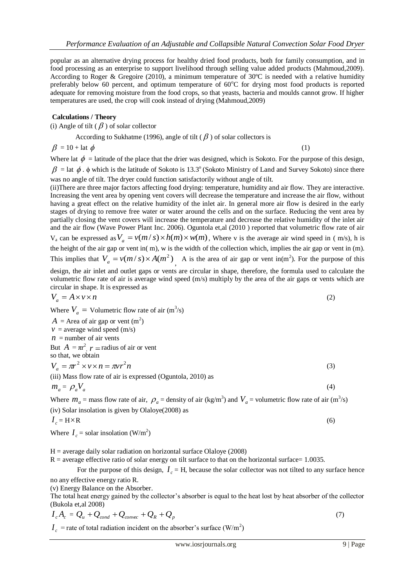popular as an alternative drying process for healthy dried food products, both for family consumption, and in food processing as an enterprise to support livelihood through selling value added products (Mahmoud,2009). According to Roger & Gregoire (2010), a minimum temperature of 30ºC is needed with a relative humidity preferably below 60 percent, and optimum temperature of  $60^{\circ}$ C for drying most food products is reported adequate for removing moisture from the food crops, so that yeasts, bacteria and moulds cannot grow. If higher temperatures are used, the crop will cook instead of drying (Mahmoud,2009)

#### **Calculations / Theory**

(i) Angle of tilt ( $\beta$ ) of solar collector

According to Sukhatme (1996), angle of tilt ( $\beta$ ) of solar collectors is

 $\beta = 10 + \text{lat }\phi$ 

(1)

Where lat  $\phi$  = latitude of the place that the drier was designed, which is Sokoto. For the purpose of this design,

 $\beta$  = lat  $\phi$ .  $\phi$  which is the latitude of Sokoto is 13.3° (Sokoto Ministry of Land and Survey Sokoto) since there was no angle of tilt. The dryer could function satisfactorily without angle of tilt.

(ii)There are three major factors affecting food drying: temperature, humidity and air flow. They are interactive. Increasing the vent area by opening vent covers will decrease the temperature and increase the air flow, without having a great effect on the relative humidity of the inlet air. In general more air flow is desired in the early stages of drying to remove free water or water around the cells and on the surface. Reducing the vent area by partially closing the vent covers will increase the temperature and decrease the relative humidity of the inlet air and the air flow (Wave Power Plant Inc. 2006). Oguntola et,al (2010 ) reported that volumetric flow rate of air  $V_a$  can be expressed as  $V_a = v(m/s) \times h(m) \times w(m)$ , Where v is the average air wind speed in ( m/s), h is the height of the air gap or vent in( m), w is the width of the collection which, implies the air gap or vent in (m). This implies that  $V_a = v(m/s) \times A(m^2)$ , A is the area of air gap or vent in(m<sup>2</sup>). For the purpose of this

design, the air inlet and outlet gaps or vents are circular in shape, therefore, the formula used to calculate the volumetric flow rate of air is average wind speed (m/s) multiply by the area of the air gaps or vents which are circular in shape. It is expressed as

$$
V_a = A \times v \times n \tag{2}
$$

Where  $V_a$  = Volumetric flow rate of air  $(m^3/s)$ 

 $A =$  Area of air gap or vent  $(m<sup>2</sup>)$  $v =$  average wind speed (m/s)  $n =$  number of air vents But  $A = \pi r^2$ ,  $r =$  radius of air or vent so that, we obtain  $V_a = \pi r^2 \times v \times n = \pi v r^2 n$ (3) (iii) Mass flow rate of air is expressed (Oguntola, 2010) as  $m_a = \rho_a V_a$ (4) Where  $m_a$  = mass flow rate of air,  $\rho_a$  = density of air (kg/m<sup>3</sup>) and  $V_a$  = volumetric flow rate of air (m<sup>3</sup>/s)

(iv) Solar insolation is given by Olaloye(2008) as

$$
I_c = H \times R \tag{6}
$$

Where  $I_c$  = solar insolation (W/m<sup>2</sup>)

 $H =$  average daily solar radiation on horizontal surface Olaloye (2008)

 $R$  = average effective ratio of solar energy on tilt surface to that on the horizontal surface= 1.0035.

For the purpose of this design,  $I_c$  = H, because the solar collector was not tilted to any surface hence

no any effective energy ratio R.

(v) Energy Balance on the Absorber.

The total heat energy gained by the collector's absorber is equal to the heat lost by heat absorber of the collector (Bukola et,al 2008)

$$
I_c A_c = Q_u + Q_{cond} + Q_{convec} + Q_R + Q_p
$$
\n<sup>(7)</sup>

 $I_c$  = rate of total radiation incident on the absorber's surface (W/m<sup>2</sup>)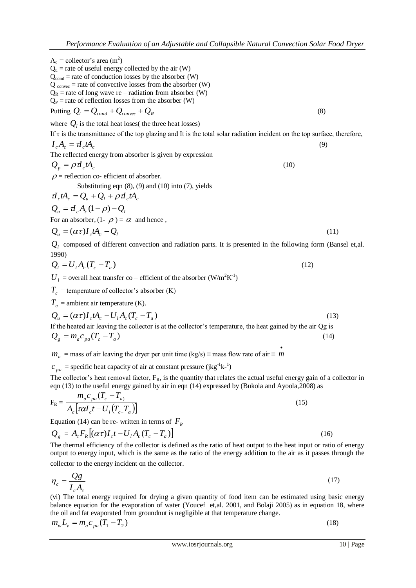| $\rho$ = reflection co- efficient of absorber.                |  |
|---------------------------------------------------------------|--|
| Substituting eqn $(8)$ , $(9)$ and $(10)$ into $(7)$ , yields |  |
|                                                               |  |

If  $\tau$  is the transmittance of the top glazing and It is the total solar radiation incident on the top surface, therefore,

 $I_c A_c = \tau I_c t A_c$  (9)

 $Q_n = \rho \, d_n t A_n$  (10)

$$
\frac{d}{d_c}tA_c = Q_u + Q_l + \rho d_c tA_c
$$
  

$$
Q_u = d_cA_c(1-\rho) - Q_l
$$

Putting  $Q_l = Q_{cond} + Q_{convec} + Q_R$ 

 $A_c$  = collector's area (m<sup>2</sup>)

 $Q_{\rm u}$  = rate of useful energy collected by the air (W)  $Q_{cond}$  = rate of conduction losses by the absorber (W)  $Q_{\text{convec}} = \text{rate of convective losses from the absorber (W)}$  $Q_R$  = rate of long wave re – radiation from absorber (W)  $Q_P$  = rate of reflection losses from the absorber (W)

where  $Q_l$  is the total heat loses( the three heat losses)

The reflected energy from absorber is given by expression

For an absorber,  $(1 - \rho) = \alpha$  and hence,

$$
Q_u = (\alpha \tau) I_c t A_c - Q_l
$$
 (11)  
Q<sub>l</sub> composed of different convection and radiation parts. It is presented in the following form (Bansel et,al.

$$
\mathcal{L}_1
$$
 composed of different convection and radiation parts. It is presented in the following form (banser of 1990)

$$
Q_l = U_l A_c (T_c - T_a) \tag{12}
$$

 $U_l$  = overall heat transfer co – efficient of the absorber (W/m<sup>2</sup>K<sup>-1</sup>)

 $T_c$  = temperature of collector's absorber (K)

 $T_a$  = ambient air temperature (K).

$$
Q_u = (\alpha \tau) I_c t A_c - U_l A_c (T_c - T_a)
$$
  
If the heated air leaving the collector is at the collector's temperature, the heat gained by the air Qg is  

$$
Q_g = m_a c_{pa} (T_c - T_a)
$$
 (14)

 $m_a$  = mass of air leaving the dryer per unit time (kg/s) ≡ mass flow rate of air ≡ *m*  $\bullet$ 

 $c_{pa}$  = specific heat capacity of air at constant pressure (jkg<sup>-1</sup>k<sup>-1</sup>)

The collector's heat removal factor,  $F_R$ , is the quantity that relates the actual useful energy gain of a collector in eqn (13) to the useful energy gained by air in eqn (14) expressed by (Bukola and Ayoola,2008) as

$$
F_{R} = \frac{m_{a}c_{pa}(T_{c} - T_{a})}{A_{c}[\tau \alpha I_{c}t - U_{l}(T_{c} - T_{a})]}
$$
(15)

Equation (14) can be re- written in terms of  $F_R$ 

$$
Q_{g} = A_{c} F_{R} [(\alpha \tau) I_{c} t - U_{1} A_{c} (T_{c} - T_{a})]
$$
\nThe thermal efficiency of the collector is defined as the ratio of heat output to the heat input or ratio of

The thermal efficiency of the collector is defined as the ratio of heat output to the heat input or ratio of energy output to energy input, which is the same as the ratio of the energy addition to the air as it passes through the collector to the energy incident on the collector.

$$
\eta_c = \frac{Qg}{I_c A_c} \tag{17}
$$

(vi) The total energy required for drying a given quantity of food item can be estimated using basic energy balance equation for the evaporation of water (Youcef et,al. 2001, and Bolaji 2005) as in equation 18, where the oil and fat evaporated from groundnut is negligible at that temperature change.

$$
m_{w}L_{v} = m_{a}c_{pa}(T_{1} - T_{2})
$$
\n(18)

(8)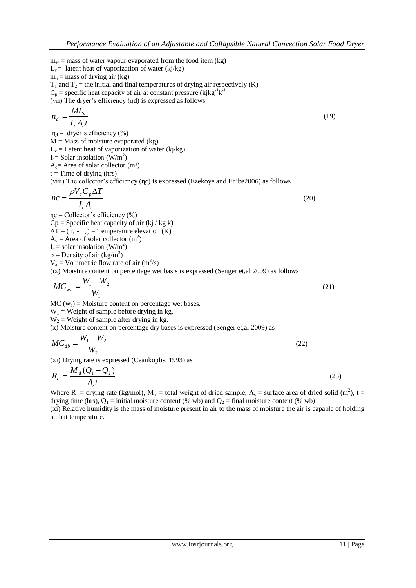$m_w$  = mass of water vapour evaporated from the food item (kg)  $L_v$  = latent heat of vaporization of water (kj/kg)  $m_a$  = mass of drying air (kg)  $T_1$  and  $T_2$  = the initial and final temperatures of drying air respectively (K)  $C_p$  = specific heat capacity of air at constant pressure (kjkg<sup>-1</sup>k<sup>-1</sup>) (vii) The dryer's efficiency (ɳd) is expressed as follows  $I_c A_c t$  $n_d = \frac{ML}{l}$  $c^{I}$ <sup> $c$ </sup>  $d = \frac{ML_v}{LA_v}$  (19)  $\eta_d$  = dryer's efficiency (%)  $M =$ Mass of moisture evaporated (kg)  $L_v =$  Latent heat of vaporization of water (kj/kg)  $I_c =$  Solar insolation (W/m<sup>2</sup>)  $A<sub>c</sub>$  = Area of solar collector (m<sup>2</sup>)  $t =$ Time of drying (hrs) (viii) The collector's efficiency (ɳc) is expressed (Ezekoye and Enibe2006) as follows  $_c$  $\mathbf{a}_c$ *a p I A*  $V_a C_p \Delta T$ *nc*  $\Delta$  $=\frac{\rho}{\rho}$  (20)  $nc = Collector's efficiency$  (%)  $Cp =$  Specific heat capacity of air  $(kj / kg k)$  $\Delta T = (T_c - T_a) =$ Temperature elevation (K)  $A_c =$  Area of solar collector  $(m^2)$  $I_c$  = solar insolation (W/m<sup>2</sup>)  $p =$ Density of air (kg/m<sup>3</sup>)  $V_a$  = Volumetric flow rate of air (m<sup>3</sup>/s) (ix) Moisture content on percentage wet basis is expressed (Senger et,al 2009) as follows 1  $1$   $\cdots$   $2$ *W*  $MC_{wb} = \frac{W_1 - W_2}{W}$  $=\frac{W_1-W_2}{W_1}$  (21)  $MC (w_b) = Moisture content on percentage wet bases.$  $W_1$  = Weight of sample before drying in kg.  $W_2$  = Weight of sample after drying in kg. (x) Moisture content on percentage dry bases is expressed (Senger et,al 2009) as 2  $1 - \nu_{2}$ *W*  $MC_{db} = \frac{W_1 - W}{W}$  $=\frac{W_1-W_2}{W_1-W_2}$  (22) (xi) Drying rate is expressed (Ceankoplis, 1993) as  $R_c = \frac{M_d (Q_1 - Q_2)}{q}$ *d*  $=\frac{M_d (Q_1 - Q_2)}{Q_1 Q_2}$  (23)

 $A<sub>s</sub>t$ *s* Where  $R_c$  = drying rate (kg/mol), M<sub>d</sub> = total weight of dried sample, A<sub>s</sub> = surface area of dried solid (m<sup>2</sup>), t = drying time (hrs),  $Q_1$  = initial moisture content (% wb) and  $Q_2$  = final moisture content (% wb)

*c*

(xi) Relative humidity is the mass of moisture present in air to the mass of moisture the air is capable of holding at that temperature.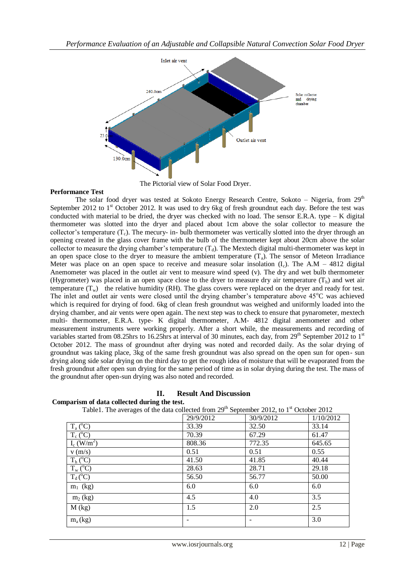

The Pictorial view of Solar Food Dryer.

### **Performance Test**

The solar food dryer was tested at Sokoto Energy Research Centre, Sokoto – Nigeria, from  $29<sup>th</sup>$ September 2012 to 1<sup>st</sup> October 2012. It was used to dry 6kg of fresh groundnut each day. Before the test was conducted with material to be dried, the dryer was checked with no load. The sensor E.R.A. type  $-$  K digital thermometer was slotted into the dryer and placed about 1cm above the solar collector to measure the collector's temperature  $(T_c)$ . The mecury- in- bulb thermometer was vertically slotted into the dryer through an opening created in the glass cover frame with the bulb of the thermometer kept about 20cm above the solar collector to measure the drying chamber's temperature  $(T_d)$ . The Mextech digital multi-thermometer was kept in an open space close to the dryer to measure the ambient temperature  $(T_a)$ . The sensor of Meteon Irradiance Meter was place on an open space to receive and measure solar insolation  $(I_c)$ . The A.M – 4812 digital Anemometer was placed in the outlet air vent to measure wind speed (v). The dry and wet bulb thermometer (Hygrometer) was placed in an open space close to the dryer to measure dry air temperature  $(T_h)$  and wet air temperature  $(T_w)$  the relative humidity (RH). The glass covers were replaced on the dryer and ready for test. The inlet and outlet air vents were closed until the drying chamber's temperature above  $45^{\circ}$ C was achieved which is required for drying of food. 6kg of clean fresh groundnut was weighed and uniformly loaded into the drying chamber, and air vents were open again. The next step was to check to ensure that pynarometer, mextech multi- thermometer, E.R.A. type- K digital thermometer, A.M- 4812 digital anemometer and other measurement instruments were working properly. After a short while, the measurements and recording of variables started from 08.25hrs to 16.25hrs at interval of 30 minutes, each day, from 29<sup>th</sup> September 2012 to 1<sup>st</sup> October 2012. The mass of groundnut after drying was noted and recorded daily. As the solar drying of groundnut was taking place, 3kg of the same fresh groundnut was also spread on the open sun for open- sun drying along side solar drying on the third day to get the rough idea of moisture that will be evaporated from the fresh groundnut after open sun drying for the same period of time as in solar drying during the test. The mass of the groundnut after open-sun drying was also noted and recorded.

## **II. Result And Discussion**

Table1. The averages of the data collected from  $29<sup>th</sup>$  September 2012, to 1<sup>st</sup> October 2012 29/9/2012 30/9/2012 1/10/2012  $T_a (^0C)$  $\overline{O}$  33.39 32.50 33.14  $T_c$  ( $^{\circ}$ C)  $^{\circ}$ C) 70.39 67.29 61.47  $I_c$  (W/m<sup>2</sup>) ) 808.36 772.35 645.65 v (m/s) 0.51 0.51 0.55  $T_h$  ( $^{\circ}$ C)  $^{0}$ C) 41.50 41.85 40.44  $T_w (^0C)$  $^{\circ}$ C) 28.63 28.71 29.18  $T_d$ <sup>(°</sup>C)  $\degree$ C) 56.50 56.77 50.00  $m_1$  (kg)  $6.0$  6.0 6.0  $m_2$  (kg)  $4.5$   $4.0$   $3.5$  $M (kg)$  1.5 2.0 2.5  $m_a(kg)$   $-$  3.0

**Comparism of data collected during the test.**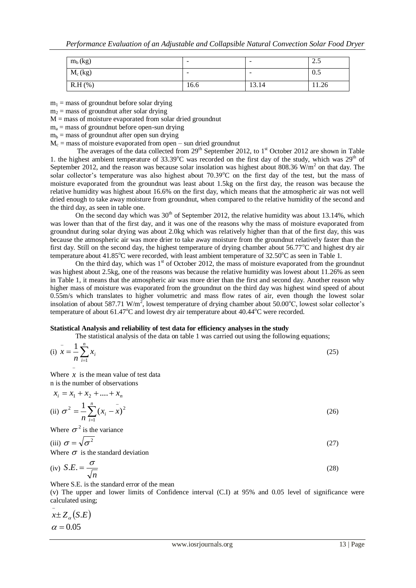| $m_b$ (kg) | $\overline{\phantom{0}}$ | $\overline{\phantom{a}}$ | $\sim$ $\epsilon$<br>ل ک |
|------------|--------------------------|--------------------------|--------------------------|
| $M_c (kg)$ | $\overline{\phantom{0}}$ | $\overline{\phantom{a}}$ | 0.5                      |
| $R.H(\%)$  | 16.6                     | 13.14                    | 11.26                    |

 $m_1$  = mass of groundnut before solar drying

 $m<sub>2</sub>$  = mass of groundnut after solar drying

 $M =$  mass of moisture evaporated from solar dried groundnut

 $m<sub>a</sub>$  = mass of groundnut before open-sun drying

 $m_b$  = mass of groundnut after open sun drying

 $M_c$  = mass of moisture evaporated from open – sun dried groundnut

The averages of the data collected from  $29<sup>th</sup>$  September 2012, to 1<sup>st</sup> October 2012 are shown in Table 1. the highest ambient temperature of  $33.39^{\circ}$ C was recorded on the first day of the study, which was  $29^{th}$  of September 2012, and the reason was because solar insolation was highest about 808.36  $W/m<sup>2</sup>$  on that day. The solar collector's temperature was also highest about 70.39°C on the first day of the test, but the mass of moisture evaporated from the groundnut was least about 1.5kg on the first day, the reason was because the relative humidity was highest about 16.6% on the first day, which means that the atmospheric air was not well dried enough to take away moisture from groundnut, when compared to the relative humidity of the second and the third day, as seen in table one.

On the second day which was  $30<sup>th</sup>$  of September 2012, the relative humidity was about 13.14%, which was lower than that of the first day, and it was one of the reasons why the mass of moisture evaporated from groundnut during solar drying was about 2.0kg which was relatively higher than that of the first day, this was because the atmospheric air was more drier to take away moisture from the groundnut relatively faster than the first day. Still on the second day, the highest temperature of drying chamber about 56.77°C and highest dry air temperature about 41.85°C were recorded, with least ambient temperature of 32.50°C as seen in Table 1.

On the third day, which was  $1<sup>st</sup>$  of October 2012, the mass of moisture evaporated from the groundnut was highest about 2.5kg, one of the reasons was because the relative humidity was lowest about 11.26% as seen in Table 1, it means that the atmospheric air was more drier than the first and second day. Another reason why higher mass of moisture was evaporated from the groundnut on the third day was highest wind speed of about 0.55m/s which translates to higher volumetric and mass flow rates of air, even though the lowest solar insolation of about 587.71 W/m<sup>2</sup>, lowest temperature of drying chamber about 50.00°C, lowest solar collector's temperature of about  $61.47^{\circ}$ C and lowest dry air temperature about  $40.44^{\circ}$ C were recorded.

#### **Statistical Analysis and reliability of test data for efficiency analyses in the study**

The statistical analysis of the data on table 1 was carried out using the following equations;

| (i) $\bar{x} = \frac{1}{n} \sum_{i=1}^{n} x_i$ | (25) |
|------------------------------------------------|------|
| $\overline{\phantom{a}}$                       |      |

Where  $x$  is the mean value of test data n is the number of observations

$$
x_i = x_1 + x_2 + \dots + x_n
$$
  
(ii) 
$$
\sigma^2 = \frac{1}{n} \sum_{i=1}^n (x_i - \overline{x})^2
$$
 (26)

Where  $\sigma^2$  is the variance

(iii) 
$$
\sigma = \sqrt{\sigma^2}
$$
 (27)

Where  $\sigma$  is the standard deviation

(iv) 
$$
S.E. = \frac{\sigma}{\sqrt{n}}
$$
 (28)

Where S.E. is the standard error of the mean

(v) The upper and lower limits of Confidence interval (C.I) at 95% and 0.05 level of significance were calculated using;

$$
\overline{x} \pm Z_{\alpha}(S.E)
$$
  

$$
\alpha = 0.05
$$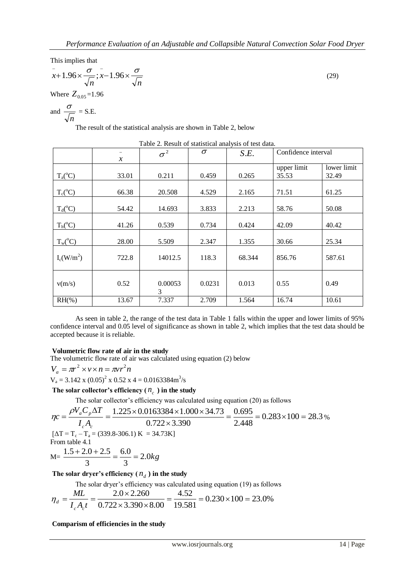This implies that

$$
\bar{x}+1.96 \times \frac{\sigma}{\sqrt{n}}; \bar{x}-1.96 \times \frac{\sigma}{\sqrt{n}}
$$
  
Where  $Z_{0.05}=1.96$ 

and  $\frac{\sigma}{\sqrt{ }}$  = S.E.

*n*

The result of the statistical analysis are shown in Table 2, below

|                       | $\chi$ | $\sigma^2$   | $\sigma$ | S.E.   |                      | Confidence interval  |  |
|-----------------------|--------|--------------|----------|--------|----------------------|----------------------|--|
|                       | 33.01  | 0.211        | 0.459    | 0.265  | upper limit<br>35.53 | lower limit<br>32.49 |  |
| $T_a(^{\circ}C)$      |        |              |          |        |                      |                      |  |
| $T_c(^{\circ}C)$      | 66.38  | 20.508       | 4.529    | 2.165  | 71.51                | 61.25                |  |
| $T_d$ <sup>o</sup> C) | 54.42  | 14.693       | 3.833    | 2.213  | 58.76                | 50.08                |  |
| $T_h(^{\circ}C)$      | 41.26  | 0.539        | 0.734    | 0.424  | 42.09                | 40.42                |  |
| $T_w({}^{\circ}C)$    | 28.00  | 5.509        | 2.347    | 1.355  | 30.66                | 25.34                |  |
| $I_c(W/m^2)$          | 722.8  | 14012.5      | 118.3    | 68.344 | 856.76               | 587.61               |  |
| v(m/s)                | 0.52   | 0.00053<br>3 | 0.0231   | 0.013  | 0.55                 | 0.49                 |  |
| $RH(\% )$             | 13.67  | 7.337        | 2.709    | 1.564  | 16.74                | 10.61                |  |

Table 2. Result of statistical analysis of test data.

As seen in table 2, the range of the test data in Table 1 falls within the upper and lower limits of 95% confidence interval and 0.05 level of significance as shown in table 2, which implies that the test data should be accepted because it is reliable.

## **Volumetric flow rate of air in the study**

The volumetric flow rate of air was calculated using equation (2) below

 $V_a = \pi r^2 \times v \times n = \pi v r^2 n$  $V_a = 3.142 \times (0.05)^2 \times 0.52 \times 4 = 0.0163384 \text{m}^3/\text{s}$ 

The solar collector's efficiency  $(n_c)$  in the study

The solar collector's efficiency was calculated using equation (20) as follows

$$
\eta_C = \frac{\rho V_a C_p \Delta T}{I_c A_c} = \frac{1.225 \times 0.0163384 \times 1.000 \times 34.73}{0.722 \times 3.390} = \frac{0.695}{2.448} = 0.283 \times 100 = 28.3\%
$$
  
\n[ $\Delta T = T_c - T_a = (339.8 - 306.1) \text{ K} = 34.73 \text{ K}$ ]  
\nFrom table 4.1  
\n $M = \frac{1.5 + 2.0 + 2.5}{3} = \frac{6.0}{3} = 2.0 kg$ 

## The solar dryer's efficiency  $(n_d)$  in the study

The solar dryer's efficiency was calculated using equation (19) as follows

$$
\eta_d = \frac{ML}{I_c A_c t} = \frac{2.0 \times 2.260}{0.722 \times 3.390 \times 8.00} = \frac{4.52}{19.581} = 0.230 \times 100 = 23.0\%
$$

**Comparism of efficiencies in the study**

(29)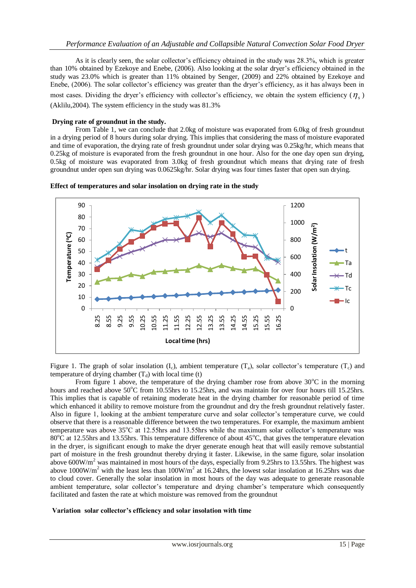As it is clearly seen, the solar collector's efficiency obtained in the study was 28.3%, which is greater than 10% obtained by Ezekoye and Enebe, (2006). Also looking at the solar dryer's efficiency obtained in the study was 23.0% which is greater than 11% obtained by Senger, (2009) and 22% obtained by Ezekoye and Enebe, (2006). The solar collector's efficiency was greater than the dryer's efficiency, as it has always been in most cases. Dividing the dryer's efficiency with collector's efficiency, we obtain the system efficiency  $(\eta_s)$ (Aklilu,2004). The system efficiency in the study was 81.3%

## **Drying rate of groundnut in the study.**

From Table 1, we can conclude that 2.0kg of moisture was evaporated from 6.0kg of fresh groundnut in a drying period of 8 hours during solar drying. This implies that considering the mass of moisture evaporated and time of evaporation, the drying rate of fresh groundnut under solar drying was 0.25kg/hr, which means that 0.25kg of moisture is evaporated from the fresh groundnut in one hour. Also for the one day open sun drying, 0.5kg of moisture was evaporated from 3.0kg of fresh groundnut which means that drying rate of fresh groundnut under open sun drying was 0.0625kg/hr. Solar drying was four times faster that open sun drying.



**Effect of temperatures and solar insolation on drying rate in the study**

Figure 1. The graph of solar insolation  $(I_c)$ , ambient temperature  $(T_a)$ , solar collector's temperature  $(T_c)$  and temperature of drying chamber  $(T_d)$  with local time (t)

From figure 1 above, the temperature of the drying chamber rose from above  $30^{\circ}$ C in the morning hours and reached above  $50^{\circ}$ C from 10.55hrs to 15.25hrs, and was maintain for over four hours till 15.25hrs. This implies that is capable of retaining moderate heat in the drying chamber for reasonable period of time which enhanced it ability to remove moisture from the groundnut and dry the fresh groundnut relatively faster. Also in figure 1, looking at the ambient temperature curve and solar collector's temperature curve, we could observe that there is a reasonable difference between the two temperatures. For example, the maximum ambient temperature was above 35°C at 12.55hrs and 13.55hrs while the maximum solar collector's temperature was 80 $^{\circ}$ C at 12.55hrs and 13.55hrs. This temperature difference of about 45 $^{\circ}$ C, that gives the temperature elevation in the dryer, is significant enough to make the dryer generate enough heat that will easily remove substantial part of moisture in the fresh groundnut thereby drying it faster. Likewise, in the same figure, solar insolation above 600W/m<sup>2</sup> was maintained in most hours of the days, especially from 9.25hrs to 13.55hrs. The highest was above 1000W/m<sup>2</sup> with the least less than  $100W/m^2$  at 16.24hrs, the lowest solar insolation at 16.25hrs was due to cloud cover. Generally the solar insolation in most hours of the day was adequate to generate reasonable ambient temperature, solar collector's temperature and drying chamber's temperature which consequently facilitated and fasten the rate at which moisture was removed from the groundnut

#### **Variation solar collector's efficiency and solar insolation with time**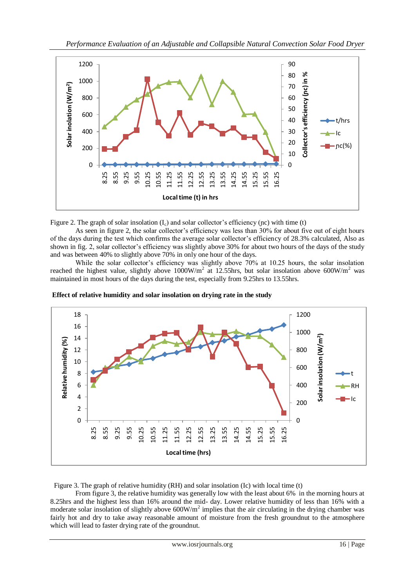

Figure 2. The graph of solar insolation  $(I_c)$  and solar collector's efficiency (nc) with time (t)

As seen in figure 2, the solar collector's efficiency was less than 30% for about five out of eight hours of the days during the test which confirms the average solar collector's efficiency of 28.3% calculated, Also as shown in fig. 2, solar collector's efficiency was slightly above 30% for about two hours of the days of the study and was between 40% to slightly above 70% in only one hour of the days.

While the solar collector's efficiency was slightly above 70% at 10.25 hours, the solar insolation reached the highest value, slightly above  $1000W/m^2$  at 12.55hrs, but solar insolation above 600W/m<sup>2</sup> was maintained in most hours of the days during the test, especially from 9.25hrs to 13.55hrs.



**Effect of relative humidity and solar insolation on drying rate in the study**

Figure 3. The graph of relative humidity (RH) and solar insolation (Ic) with local time (t)

From figure 3, the relative humidity was generally low with the least about 6% in the morning hours at 8.25hrs and the highest less than 16% around the mid- day. Lower relative humidity of less than 16% with a moderate solar insolation of slightly above  $600W/m<sup>2</sup>$  implies that the air circulating in the drying chamber was fairly hot and dry to take away reasonable amount of moisture from the fresh groundnut to the atmosphere which will lead to faster drying rate of the groundnut.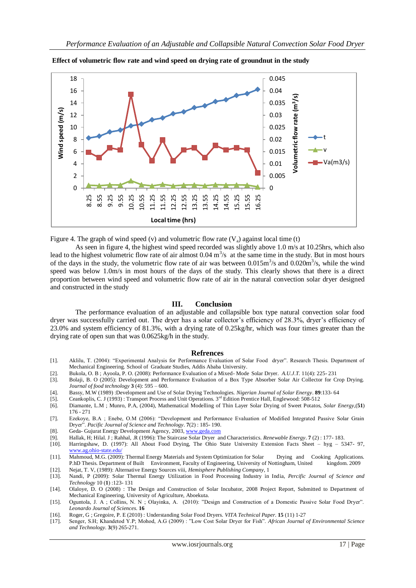

**Effect of volumetric flow rate and wind speed on drying rate of groundnut in the study**



As seen in figure 4, the highest wind speed recorded was slightly above 1.0 m/s at 10.25hrs, which also lead to the highest volumetric flow rate of air almost  $0.04 \text{ m}^3/\text{s}$  at the same time in the study. But in most hours of the days in the study, the volumetric flow rate of air was between  $0.015 \text{m}^3/\text{s}$  and  $0.020 \text{m}^3/\text{s}$ , while the wind speed was below 1.0m/s in most hours of the days of the study. This clearly shows that there is a direct proportion between wind speed and volumetric flow rate of air in the natural convection solar dryer designed and constructed in the study

#### **III. Conclusion**

The performance evaluation of an adjustable and collapsible box type natural convection solar food dryer was successfully carried out. The dryer has a solar collector's efficiency of 28.3%, dryer's efficiency of 23.0% and system efficiency of 81.3%, with a drying rate of 0.25kg/hr, which was four times greater than the drying rate of open sun that was 0.0625kg/h in the study.

#### **Refrences**

- [1]. Aklilu, T. (2004): "Experimental Analysis for Performance Evaluation of Solar Food dryer". Research Thesis. Department of Mechanical Engineering. School of Graduate Studies, Addis Ababa University.
- [2]. Bukola, O. B ; Ayoola, P. O. (2008): Performance Evaluation of a Mixed- Mode Solar Dryer. *A.U.J.T.* 11(4): 225- 231
- [3]. Bolaji, B. O (2005): Development and Performance Evaluation of a Box Type Absorber Solar Air Collector for Crop Drying. *Journal of food technology* **3** (4): 595 – 600.
- [4]. Bassy, M.W (1989) :Development and Use of Solar Drying Technologies. *Nigerian Journal of Solar Energy*. **89**:133- 64
- [5]. Ceankoplis, C. J (1993) : Transport Process and Unit Operations. 3rd Edition Prentice Hall, Englewood: 508-512
- [6]. Diamante, L.M ; Munro, P.A, (2004), Mathematical Modelling of Thin Layer Solar Drying of Sweet Potatos, *Solar Energy,*(**51**) 176 - 271
- [7]. Ezekoye, B.A ; Enebe, O.M (2006): "Development and Performance Evaluation of Modified Integrated Passive Solar Grain Dryer". *Pacific Journal of Science and Technology*. **7**(2) : 185- 190.
- [8]. Geda- Gujurat Energy Development Agency, 2003[, www.geda.com](http://www.geda.com/)
- [9]. Hallak, H; Hilal. J ; Rahhal, .R (1996): The Staircase Solar Dryer and Characteristics. *Renewable Energy*. **7** (2) : 177- 183.
- [10]. Harringshaw, D. (1997): All About Food Drying, The Ohio State University Extension Facts Sheet hyg 5347- 97, [www.ag.ohio-state.edu/](http://www.ag.ohio-state.edu/)
- [11]. Mahmoud, M.G. (2009): Thermal Energy Materials and System Optimization for Solar Drying and Cooking Applications. P.hD Thesis. Department of Built Environment, Faculty of Engineering, University of Nottingham, United kingdom. 2009 [12]. Nejat, T. V, (1989): Alternative Energy Sources viii, *Hemisphere Publishing Company,* 1
- [13]. Nandi, P (2009): Solar Thermal Energy Utilization in Food Processing Industry in India, *Percific Journal of Science and Technology* 10 (**1**) :123- 131
- [14]. Olaloye, D. O (2008) : The Design and Construction of Solar Incubator, 2008 Project Report, Submitted to Department of Mechanical Engineering, University of Agriculture, Aboekuta.
- [15]. Oguntola, J. A ; Collins, N. N ; Olayinka, A. (2010): "Design and Construction of a Domestic Passive Solar Food Dryer". *Leonardo Journal of Sciences.* **16**
- [16]. Roger, G ; Gregoire, P. E (2010) : Understanding Solar Food Dryers. *VITA Technical Paper.* **15** (11) 1-27
- [17]. Senger, S.H; Khandetod Y.P; Mohod, A.G (2009) : "Low Cost Solar Dryer for Fish". *African Journal of Environmental Science and Technology.* **3**(9) 265-271.